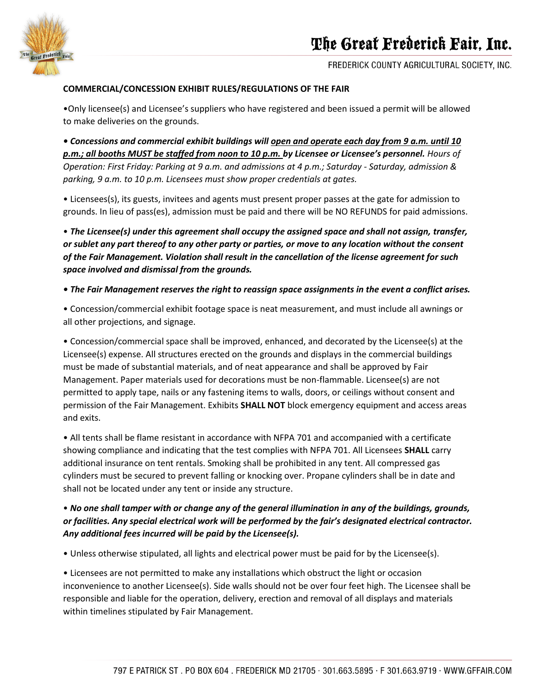

FREDERICK COUNTY AGRICULTURAL SOCIETY, INC.

#### **COMMERCIAL/CONCESSION EXHIBIT RULES/REGULATIONS OF THE FAIR**

•Only licensee(s) and Licensee's suppliers who have registered and been issued a permit will be allowed to make deliveries on the grounds.

*• Concessions and commercial exhibit buildings will open and operate each day from 9 a.m. until 10 p.m.; all booths MUST be staffed from noon to 10 p.m. by Licensee or Licensee's personnel. Hours of Operation: First Friday: Parking at 9 a.m. and admissions at 4 p.m.; Saturday - Saturday, admission & parking, 9 a.m. to 10 p.m. Licensees must show proper credentials at gates.*

• Licensees(s), its guests, invitees and agents must present proper passes at the gate for admission to grounds. In lieu of pass(es), admission must be paid and there will be NO REFUNDS for paid admissions.

• *The Licensee(s) under this agreement shall occupy the assigned space and shall not assign, transfer, or sublet any part thereof to any other party or parties, or move to any location without the consent of the Fair Management. Violation shall result in the cancellation of the license agreement for such space involved and dismissal from the grounds.*

#### *• The Fair Management reserves the right to reassign space assignments in the event a conflict arises.*

• Concession/commercial exhibit footage space is neat measurement, and must include all awnings or all other projections, and signage.

• Concession/commercial space shall be improved, enhanced, and decorated by the Licensee(s) at the Licensee(s) expense. All structures erected on the grounds and displays in the commercial buildings must be made of substantial materials, and of neat appearance and shall be approved by Fair Management. Paper materials used for decorations must be non-flammable. Licensee(s) are not permitted to apply tape, nails or any fastening items to walls, doors, or ceilings without consent and permission of the Fair Management. Exhibits **SHALL NOT** block emergency equipment and access areas and exits.

• All tents shall be flame resistant in accordance with NFPA 701 and accompanied with a certificate showing compliance and indicating that the test complies with NFPA 701. All Licensees **SHALL** carry additional insurance on tent rentals. Smoking shall be prohibited in any tent. All compressed gas cylinders must be secured to prevent falling or knocking over. Propane cylinders shall be in date and shall not be located under any tent or inside any structure.

# • *No one shall tamper with or change any of the general illumination in any of the buildings, grounds, or facilities. Any special electrical work will be performed by the fair's designated electrical contractor. Any additional fees incurred will be paid by the Licensee(s).*

• Unless otherwise stipulated, all lights and electrical power must be paid for by the Licensee(s).

• Licensees are not permitted to make any installations which obstruct the light or occasion inconvenience to another Licensee(s). Side walls should not be over four feet high. The Licensee shall be responsible and liable for the operation, delivery, erection and removal of all displays and materials within timelines stipulated by Fair Management.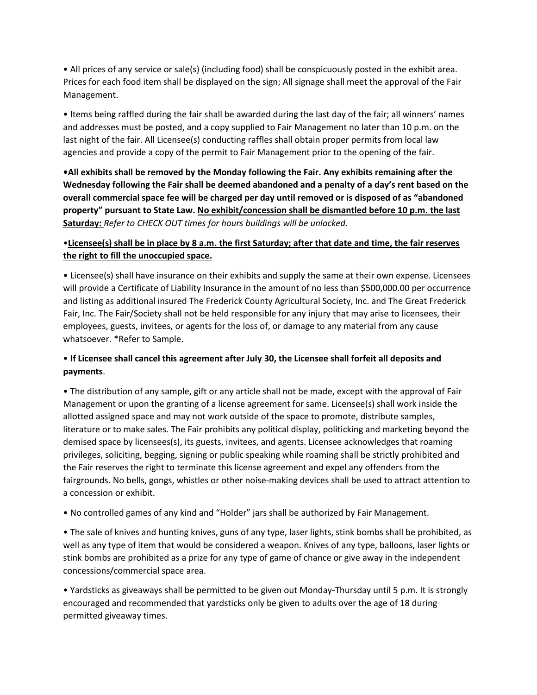• All prices of any service or sale(s) (including food) shall be conspicuously posted in the exhibit area. Prices for each food item shall be displayed on the sign; All signage shall meet the approval of the Fair Management.

• Items being raffled during the fair shall be awarded during the last day of the fair; all winners' names and addresses must be posted, and a copy supplied to Fair Management no later than 10 p.m. on the last night of the fair. All Licensee(s) conducting raffles shall obtain proper permits from local law agencies and provide a copy of the permit to Fair Management prior to the opening of the fair.

**•All exhibits shall be removed by the Monday following the Fair. Any exhibits remaining after the Wednesday following the Fair shall be deemed abandoned and a penalty of a day's rent based on the overall commercial space fee will be charged per day until removed or is disposed of as "abandoned property" pursuant to State Law. No exhibit/concession shall be dismantled before 10 p.m. the last Saturday:** *Refer to CHECK OUT times for hours buildings will be unlocked.*

### •**Licensee(s) shall be in place by 8 a.m. the first Saturday; after that date and time, the fair reserves the right to fill the unoccupied space.**

• Licensee(s) shall have insurance on their exhibits and supply the same at their own expense. Licensees will provide a Certificate of Liability Insurance in the amount of no less than \$500,000.00 per occurrence and listing as additional insured The Frederick County Agricultural Society, Inc. and The Great Frederick Fair, Inc. The Fair/Society shall not be held responsible for any injury that may arise to licensees, their employees, guests, invitees, or agents for the loss of, or damage to any material from any cause whatsoever. \*Refer to Sample.

# • **If Licensee shall cancel this agreement after July 30, the Licensee shall forfeit all deposits and payments**.

• The distribution of any sample, gift or any article shall not be made, except with the approval of Fair Management or upon the granting of a license agreement for same. Licensee(s) shall work inside the allotted assigned space and may not work outside of the space to promote, distribute samples, literature or to make sales. The Fair prohibits any political display, politicking and marketing beyond the demised space by licensees(s), its guests, invitees, and agents. Licensee acknowledges that roaming privileges, soliciting, begging, signing or public speaking while roaming shall be strictly prohibited and the Fair reserves the right to terminate this license agreement and expel any offenders from the fairgrounds. No bells, gongs, whistles or other noise-making devices shall be used to attract attention to a concession or exhibit.

• No controlled games of any kind and "Holder" jars shall be authorized by Fair Management.

• The sale of knives and hunting knives, guns of any type, laser lights, stink bombs shall be prohibited, as well as any type of item that would be considered a weapon. Knives of any type, balloons, laser lights or stink bombs are prohibited as a prize for any type of game of chance or give away in the independent concessions/commercial space area.

• Yardsticks as giveaways shall be permitted to be given out Monday-Thursday until 5 p.m. It is strongly encouraged and recommended that yardsticks only be given to adults over the age of 18 during permitted giveaway times.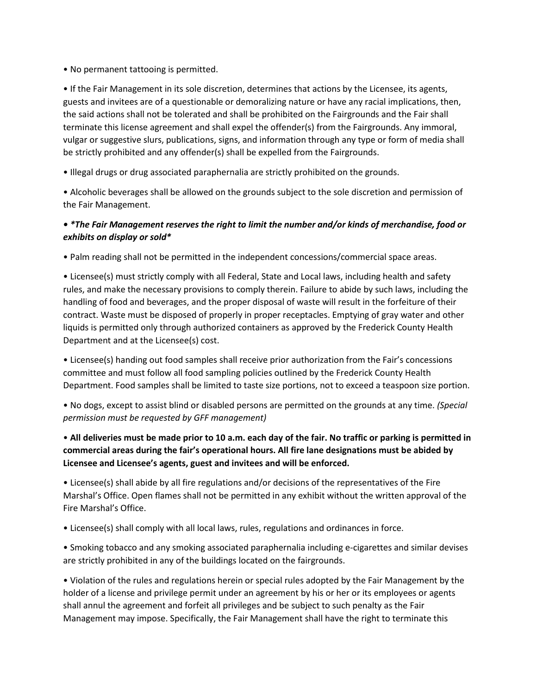• No permanent tattooing is permitted.

• If the Fair Management in its sole discretion, determines that actions by the Licensee, its agents, guests and invitees are of a questionable or demoralizing nature or have any racial implications, then, the said actions shall not be tolerated and shall be prohibited on the Fairgrounds and the Fair shall terminate this license agreement and shall expel the offender(s) from the Fairgrounds. Any immoral, vulgar or suggestive slurs, publications, signs, and information through any type or form of media shall be strictly prohibited and any offender(s) shall be expelled from the Fairgrounds.

• Illegal drugs or drug associated paraphernalia are strictly prohibited on the grounds.

• Alcoholic beverages shall be allowed on the grounds subject to the sole discretion and permission of the Fair Management.

# *• \*The Fair Management reserves the right to limit the number and/or kinds of merchandise, food or exhibits on display or sold\**

• Palm reading shall not be permitted in the independent concessions/commercial space areas.

• Licensee(s) must strictly comply with all Federal, State and Local laws, including health and safety rules, and make the necessary provisions to comply therein. Failure to abide by such laws, including the handling of food and beverages, and the proper disposal of waste will result in the forfeiture of their contract. Waste must be disposed of properly in proper receptacles. Emptying of gray water and other liquids is permitted only through authorized containers as approved by the Frederick County Health Department and at the Licensee(s) cost.

• Licensee(s) handing out food samples shall receive prior authorization from the Fair's concessions committee and must follow all food sampling policies outlined by the Frederick County Health Department. Food samples shall be limited to taste size portions, not to exceed a teaspoon size portion.

• No dogs, except to assist blind or disabled persons are permitted on the grounds at any time. *(Special permission must be requested by GFF management)*

• **All deliveries must be made prior to 10 a.m. each day of the fair. No traffic or parking is permitted in commercial areas during the fair's operational hours. All fire lane designations must be abided by Licensee and Licensee's agents, guest and invitees and will be enforced.**

• Licensee(s) shall abide by all fire regulations and/or decisions of the representatives of the Fire Marshal's Office. Open flames shall not be permitted in any exhibit without the written approval of the Fire Marshal's Office.

• Licensee(s) shall comply with all local laws, rules, regulations and ordinances in force.

• Smoking tobacco and any smoking associated paraphernalia including e-cigarettes and similar devises are strictly prohibited in any of the buildings located on the fairgrounds.

• Violation of the rules and regulations herein or special rules adopted by the Fair Management by the holder of a license and privilege permit under an agreement by his or her or its employees or agents shall annul the agreement and forfeit all privileges and be subject to such penalty as the Fair Management may impose. Specifically, the Fair Management shall have the right to terminate this